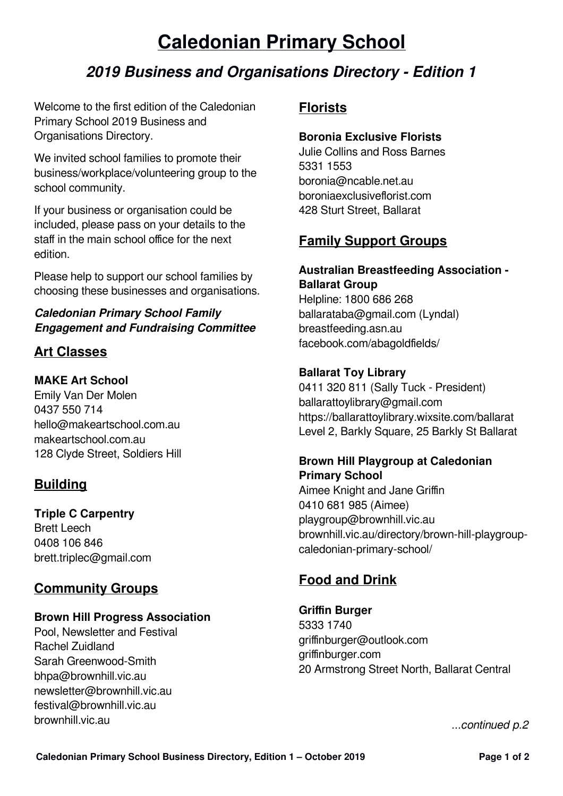# **Caledonian Primary School**

# **2019 Business and Organisations Directory - Edition 1**

Welcome to the first edition of the Caledonian Primary School 2019 Business and Organisations Directory.

We invited school families to promote their business/workplace/volunteering group to the school community.

If your business or organisation could be included, please pass on your details to the staff in the main school office for the next edition.

Please help to support our school families by choosing these businesses and organisations.

### **Caledonian Primary School Family Engagement and Fundraising Committee**

## **Art Classes**

### **MAKE Art School**

Emily Van Der Molen 0437 550 714 hello@makeartschool.com.au makeartschool.com.au 128 Clyde Street, Soldiers Hill

# **Building**

#### **Triple C Carpentry**

Brett Leech 0408 106 846 brett.triplec@gmail.com

## **Community Groups**

#### **Brown Hill Progress Association**

Pool, Newsletter and Festival Rachel Zuidland Sarah Greenwood-Smith bhpa@brownhill.vic.au newsletter@brownhill.vic.au festival@brownhill.vic.au brownhill.vic.au

## **Florists**

### **Boronia Exclusive Florists**

Julie Collins and Ross Barnes 5331 1553 boronia@ncable.net.au boroniaexclusiveflorist.com 428 Sturt Street, Ballarat

## **Family Support Groups**

# **Australian Breastfeeding Association -**

**Ballarat Group** Helpline: 1800 686 268 ballarataba@gmail.com (Lyndal) breastfeeding.asn.au facebook.com/abagoldfields/

### **Ballarat Toy Library**

0411 320 811 (Sally Tuck - President) [ballarattoylibrary@gmail.com](mailto:ballarattoylibrary@gmail.com) https://ballarattoylibrary.wixsite.com/ballarat Level 2, Barkly Square, 25 Barkly St Ballarat

#### **Brown Hill Playgroup at Caledonian Primary School**

Aimee Knight and Jane Griffin 0410 681 985 (Aimee) playgroup@brownhill.vic.au brownhill.vic.au/directory/brown-hill-playgroupcaledonian-primary-school/

# **Food and Drink**

**Griffin Burger** 5333 1740 griffinburger@outlook.com griffinburger.com 20 Armstrong Street North, Ballarat Central

...continued p.2